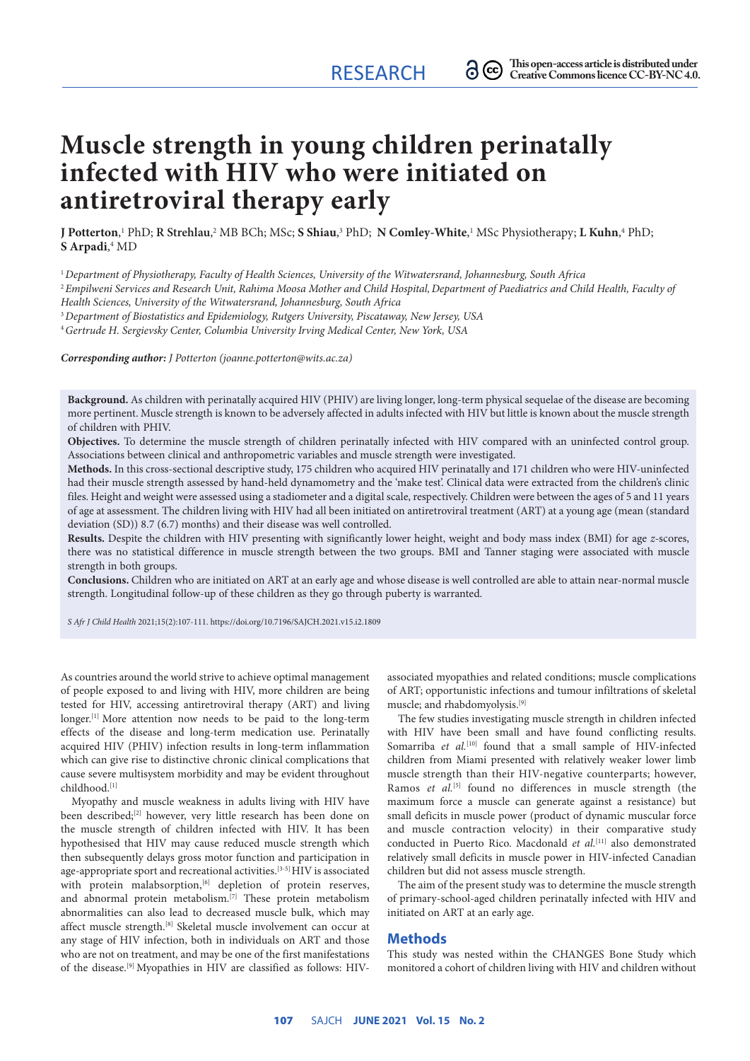# **Muscle strength in young children perinatally infected with HIV who were initiated on antiretroviral therapy early**

**J Potterton**,<sup>1</sup> PhD; **R Strehlau**,<sup>2</sup> MB BCh; MSc; **S Shiau**,<sup>3</sup> PhD; **N Comley-White**,<sup>1</sup> MSc Physiotherapy; **L Kuhn**,<sup>4</sup> PhD; **S Arpadi**, 4 MD

<sup>1</sup>*Department of Physiotherapy, Faculty of Health Sciences, University of the Witwatersrand, Johannesburg, South Africa*

<sup>2</sup> Empilweni Services and Research Unit, Rahima Moosa Mother and Child Hospital, Department of Paediatrics and Child Health, Faculty of *Health Sciences, University of the Witwatersrand, Johannesburg, South Africa*

<sup>3</sup>*Department of Biostatistics and Epidemiology, Rutgers University, Piscataway, New Jersey, USA*

<sup>4</sup>*Gertrude H. Sergievsky Center, Columbia University Irving Medical Center, New York, USA*

*Corresponding author: J Potterton [\(joanne.potterton@wits.ac.za\)](mailto:joanne.potterton@wits.ac.za)*

**Background.** As children with perinatally acquired HIV (PHIV) are living longer, long-term physical sequelae of the disease are becoming more pertinent. Muscle strength is known to be adversely affected in adults infected with HIV but little is known about the muscle strength of children with PHIV.

**Objectives.** To determine the muscle strength of children perinatally infected with HIV compared with an uninfected control group. Associations between clinical and anthropometric variables and muscle strength were investigated.

**Methods.** In this cross-sectional descriptive study, 175 children who acquired HIV perinatally and 171 children who were HIV-uninfected had their muscle strength assessed by hand-held dynamometry and the 'make test'. Clinical data were extracted from the children's clinic files. Height and weight were assessed using a stadiometer and a digital scale, respectively. Children were between the ages of 5 and 11 years of age at assessment. The children living with HIV had all been initiated on antiretroviral treatment (ART) at a young age (mean (standard deviation (SD)) 8.7 (6.7) months) and their disease was well controlled.

**Results.** Despite the children with HIV presenting with significantly lower height, weight and body mass index (BMI) for age *z-*scores, there was no statistical difference in muscle strength between the two groups. BMI and Tanner staging were associated with muscle strength in both groups.

**Conclusions.** Children who are initiated on ART at an early age and whose disease is well controlled are able to attain near-normal muscle strength. Longitudinal follow-up of these children as they go through puberty is warranted.

*S Afr J Child Health* 2021;15(2):107-111.<https://doi.org/10.7196/SAJCH.2021.v15.i2.1809>

As countries around the world strive to achieve optimal management of people exposed to and living with HIV, more children are being tested for HIV, accessing antiretroviral therapy (ART) and living longer.<sup>[1]</sup> More attention now needs to be paid to the long-term effects of the disease and long-term medication use. Perinatally acquired HIV (PHIV) infection results in long-term inflammation which can give rise to distinctive chronic clinical complications that cause severe multisystem morbidity and may be evident throughout childhood.[1]

Myopathy and muscle weakness in adults living with HIV have been described;[2] however, very little research has been done on the muscle strength of children infected with HIV. It has been hypothesised that HIV may cause reduced muscle strength which then subsequently delays gross motor function and participation in age-appropriate sport and recreational activities.[3-5] HIV is associated with protein malabsorption,<sup>[6]</sup> depletion of protein reserves, and abnormal protein metabolism.<sup>[7]</sup> These protein metabolism abnormalities can also lead to decreased muscle bulk, which may affect muscle strength.[8] Skeletal muscle involvement can occur at any stage of HIV infection, both in individuals on ART and those who are not on treatment, and may be one of the first manifestations of the disease.[9] Myopathies in HIV are classified as follows: HIV-

associated myopathies and related conditions; muscle complications of ART; opportunistic infections and tumour infiltrations of skeletal muscle; and rhabdomyolysis.[9]

The few studies investigating muscle strength in children infected with HIV have been small and have found conflicting results. Somarriba *et al.*<sup>[10]</sup> found that a small sample of HIV-infected children from Miami presented with relatively weaker lower limb muscle strength than their HIV-negative counterparts; however, Ramos *et al.*<sup>[5]</sup> found no differences in muscle strength (the maximum force a muscle can generate against a resistance) but small deficits in muscle power (product of dynamic muscular force and muscle contraction velocity) in their comparative study conducted in Puerto Rico. Macdonald *et al.*[11] also demonstrated relatively small deficits in muscle power in HIV-infected Canadian children but did not assess muscle strength.

The aim of the present study was to determine the muscle strength of primary-school-aged children perinatally infected with HIV and initiated on ART at an early age.

#### **Methods**

This study was nested within the CHANGES Bone Study which monitored a cohort of children living with HIV and children without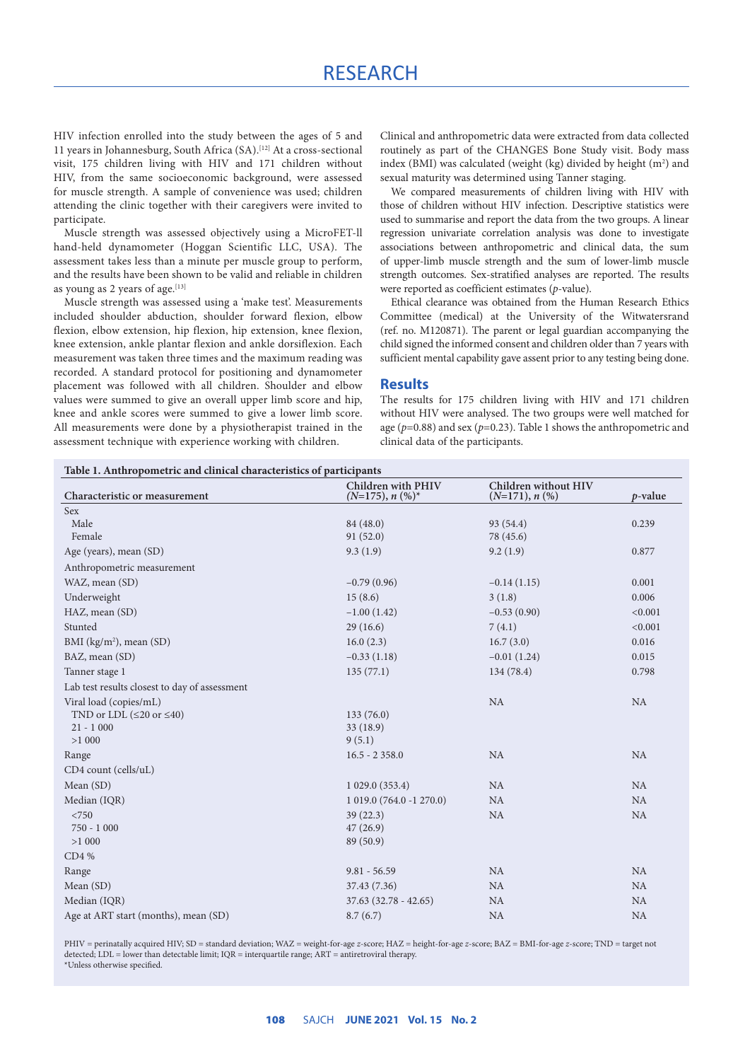# RESEARCH

HIV infection enrolled into the study between the ages of 5 and 11 years in Johannesburg, South Africa (SA).<sup>[12]</sup> At a cross-sectional visit, 175 children living with HIV and 171 children without HIV, from the same socioeconomic background, were assessed for muscle strength. A sample of convenience was used; children attending the clinic together with their caregivers were invited to participate.

Muscle strength was assessed objectively using a MicroFET-ll hand-held dynamometer (Hoggan Scientific LLC, USA). The assessment takes less than a minute per muscle group to perform, and the results have been shown to be valid and reliable in children as young as 2 years of age.<sup>[13]</sup>

Muscle strength was assessed using a 'make test'. Measurements included shoulder abduction, shoulder forward flexion, elbow flexion, elbow extension, hip flexion, hip extension, knee flexion, knee extension, ankle plantar flexion and ankle dorsiflexion. Each measurement was taken three times and the maximum reading was recorded. A standard protocol for positioning and dynamometer placement was followed with all children. Shoulder and elbow values were summed to give an overall upper limb score and hip, knee and ankle scores were summed to give a lower limb score. All measurements were done by a physiotherapist trained in the assessment technique with experience working with children.

Clinical and anthropometric data were extracted from data collected routinely as part of the CHANGES Bone Study visit. Body mass index (BMI) was calculated (weight (kg) divided by height (m<sup>2</sup>) and sexual maturity was determined using Tanner staging.

We compared measurements of children living with HIV with those of children without HIV infection. Descriptive statistics were used to summarise and report the data from the two groups. A linear regression univariate correlation analysis was done to investigate associations between anthropometric and clinical data, the sum of upper-limb muscle strength and the sum of lower-limb muscle strength outcomes. Sex-stratified analyses are reported. The results were reported as coefficient estimates (*p*-value).

Ethical clearance was obtained from the Human Research Ethics Committee (medical) at the University of the Witwatersrand (ref. no. M120871). The parent or legal guardian accompanying the child signed the informed consent and children older than 7 years with sufficient mental capability gave assent prior to any testing being done.

#### **Results**

The results for 175 children living with HIV and 171 children without HIV were analysed. The two groups were well matched for age ( $p=0.88$ ) and sex ( $p=0.23$ ). Table 1 shows the anthropometric and clinical data of the participants.

| Table 1. Anthropometric and clinical characteristics of participants |                                              |                                          |            |
|----------------------------------------------------------------------|----------------------------------------------|------------------------------------------|------------|
| Characteristic or measurement                                        | Children with PHIV<br>$(N=175)$ , n $(\%)^*$ | Children without HIV<br>$(N=171), n$ (%) | $p$ -value |
| Sex                                                                  |                                              |                                          |            |
| Male                                                                 | 84 (48.0)                                    | 93 (54.4)                                | 0.239      |
| Female                                                               | 91(52.0)                                     | 78 (45.6)                                |            |
| Age (years), mean (SD)                                               | 9.3(1.9)                                     | 9.2(1.9)                                 | 0.877      |
| Anthropometric measurement                                           |                                              |                                          |            |
| WAZ, mean (SD)                                                       | $-0.79(0.96)$                                | $-0.14(1.15)$                            | 0.001      |
| Underweight                                                          | 15(8.6)                                      | 3(1.8)                                   | 0.006      |
| HAZ, mean (SD)                                                       | $-1.00(1.42)$                                | $-0.53(0.90)$                            | < 0.001    |
| Stunted                                                              | 29(16.6)                                     | 7(4.1)                                   | < 0.001    |
| BMI (kg/m <sup>2</sup> ), mean (SD)                                  | 16.0(2.3)                                    | 16.7(3.0)                                | 0.016      |
| BAZ, mean (SD)                                                       | $-0.33(1.18)$                                | $-0.01(1.24)$                            | 0.015      |
| Tanner stage 1                                                       | 135(77.1)                                    | 134 (78.4)                               | 0.798      |
| Lab test results closest to day of assessment                        |                                              |                                          |            |
| Viral load (copies/mL)                                               |                                              | NA                                       | <b>NA</b>  |
| TND or LDL ( $\leq$ 20 or $\leq$ 40)                                 | 133(76.0)                                    |                                          |            |
| $21 - 1000$                                                          | 33(18.9)                                     |                                          |            |
| >1000                                                                | 9(5.1)                                       |                                          |            |
| Range                                                                | $16.5 - 2358.0$                              | <b>NA</b>                                | <b>NA</b>  |
| CD4 count (cells/uL)                                                 |                                              |                                          |            |
| Mean (SD)                                                            | 1 029.0 (353.4)                              | <b>NA</b>                                | NA         |
| Median (IQR)                                                         | 1 019.0 (764.0 -1 270.0)                     | NA                                       | NA         |
| < 750                                                                | 39(22.3)                                     | <b>NA</b>                                | <b>NA</b>  |
| $750 - 1000$                                                         | 47(26.9)                                     |                                          |            |
| >1000                                                                | 89 (50.9)                                    |                                          |            |
| CD4 %                                                                |                                              |                                          |            |
| Range                                                                | $9.81 - 56.59$                               | NA                                       | NA         |
| Mean (SD)                                                            | 37.43 (7.36)                                 | <b>NA</b>                                | NA         |
| Median (IQR)                                                         | $37.63$ $(32.78 - 42.65)$                    | <b>NA</b>                                | <b>NA</b>  |
| Age at ART start (months), mean (SD)                                 | 8.7(6.7)                                     | <b>NA</b>                                | <b>NA</b>  |
|                                                                      |                                              |                                          |            |

PHIV = perinatally acquired HIV; SD = standard deviation; WAZ = weight-for-age *z*-score; HAZ = height-for-age *z*-score; BAZ = BMI-for-age *z*-score; TND = target not detected; LDL = lower than detectable limit; IQR = interquartile range; ART = antiretroviral therapy. \*Unless otherwise specified.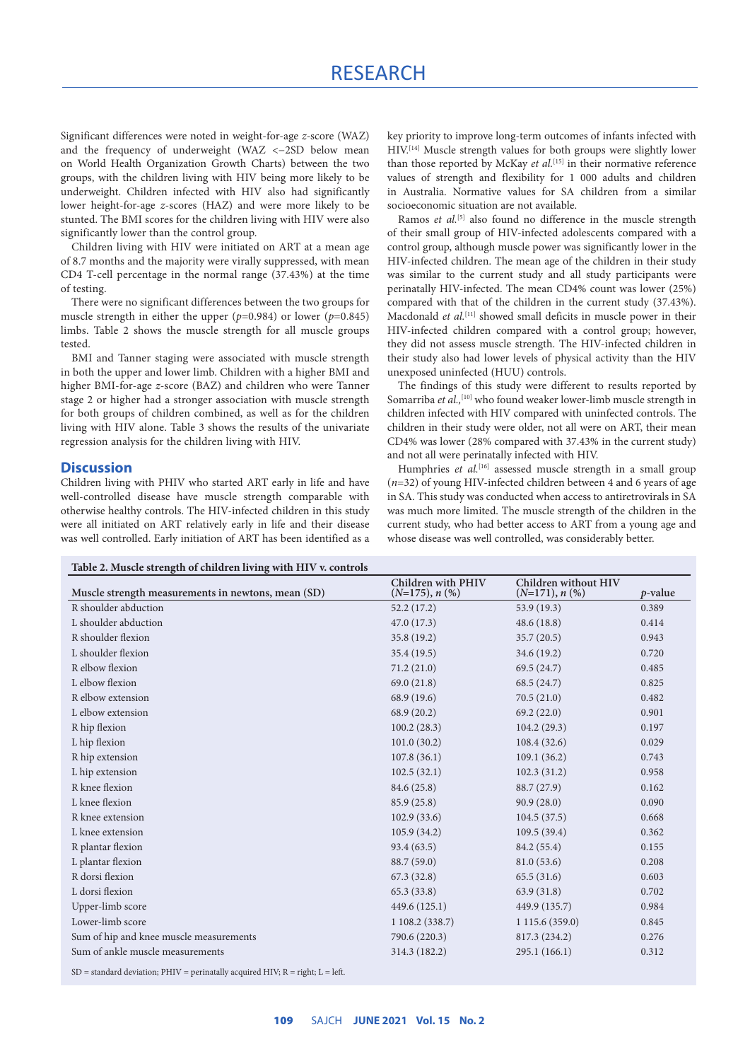Significant differences were noted in weight-for-age *z-*score (WAZ) and the frequency of underweight (WAZ <−2SD below mean on World Health Organization Growth Charts) between the two groups, with the children living with HIV being more likely to be underweight. Children infected with HIV also had significantly lower height-for-age *z*-scores (HAZ) and were more likely to be stunted. The BMI scores for the children living with HIV were also significantly lower than the control group.

Children living with HIV were initiated on ART at a mean age of 8.7 months and the majority were virally suppressed, with mean CD4 T-cell percentage in the normal range (37.43%) at the time of testing.

There were no significant differences between the two groups for muscle strength in either the upper (*p*=0.984) or lower (*p*=0.845) limbs. Table 2 shows the muscle strength for all muscle groups tested.

BMI and Tanner staging were associated with muscle strength in both the upper and lower limb. Children with a higher BMI and higher BMI-for-age *z-*score (BAZ) and children who were Tanner stage 2 or higher had a stronger association with muscle strength for both groups of children combined, as well as for the children living with HIV alone. Table 3 shows the results of the univariate regression analysis for the children living with HIV.

## **Discussion**

Children living with PHIV who started ART early in life and have well-controlled disease have muscle strength comparable with otherwise healthy controls. The HIV-infected children in this study were all initiated on ART relatively early in life and their disease was well controlled. Early initiation of ART has been identified as a key priority to improve long-term outcomes of infants infected with HIV.[14] Muscle strength values for both groups were slightly lower than those reported by McKay *et al.*<sup>[15]</sup> in their normative reference values of strength and flexibility for 1 000 adults and children in Australia. Normative values for SA children from a similar socioeconomic situation are not available.

Ramos *et al.*<sup>[5]</sup> also found no difference in the muscle strength of their small group of HIV-infected adolescents compared with a control group, although muscle power was significantly lower in the HIV-infected children. The mean age of the children in their study was similar to the current study and all study participants were perinatally HIV-infected. The mean CD4% count was lower (25%) compared with that of the children in the current study (37.43%). Macdonald *et al.*<sup>[11]</sup> showed small deficits in muscle power in their HIV-infected children compared with a control group; however, they did not assess muscle strength. The HIV-infected children in their study also had lower levels of physical activity than the HIV unexposed uninfected (HUU) controls.

The findings of this study were different to results reported by Somarriba *et al.*,<sup>[10]</sup> who found weaker lower-limb muscle strength in children infected with HIV compared with uninfected controls. The children in their study were older, not all were on ART, their mean CD4% was lower (28% compared with 37.43% in the current study) and not all were perinatally infected with HIV.

Humphries *et al.*<sup>[16]</sup> assessed muscle strength in a small group (*n*=32) of young HIV-infected children between 4 and 6 years of age in SA. This study was conducted when access to antiretrovirals in SA was much more limited. The muscle strength of the children in the current study, who had better access to ART from a young age and whose disease was well controlled, was considerably better.

#### **Table 2. Muscle strength of children living with HIV v. controls**

| Muscle strength measurements in newtons, mean (SD) | Children with PHIV<br>$(N=175), n$ (%) | Children without HIV<br>$(N=171), n$ (%) | $p$ -value |
|----------------------------------------------------|----------------------------------------|------------------------------------------|------------|
| R shoulder abduction                               | 52.2(17.2)                             | 53.9 (19.3)                              | 0.389      |
| L shoulder abduction                               | 47.0(17.3)                             | 48.6(18.8)                               | 0.414      |
| R shoulder flexion                                 | 35.8 (19.2)                            | 35.7(20.5)                               | 0.943      |
| L shoulder flexion                                 | 35.4(19.5)                             | 34.6(19.2)                               | 0.720      |
| R elbow flexion                                    | 71.2(21.0)                             | 69.5(24.7)                               | 0.485      |
| L elbow flexion                                    | 69.0(21.8)                             | 68.5(24.7)                               | 0.825      |
| R elbow extension                                  | 68.9 (19.6)                            | 70.5(21.0)                               | 0.482      |
| L elbow extension                                  | 68.9(20.2)                             | 69.2(22.0)                               | 0.901      |
| R hip flexion                                      | 100.2(28.3)                            | 104.2(29.3)                              | 0.197      |
| L hip flexion                                      | 101.0(30.2)                            | 108.4(32.6)                              | 0.029      |
| R hip extension                                    | 107.8(36.1)                            | 109.1(36.2)                              | 0.743      |
| L hip extension                                    | 102.5(32.1)                            | 102.3(31.2)                              | 0.958      |
| R knee flexion                                     | 84.6 (25.8)                            | 88.7 (27.9)                              | 0.162      |
| L knee flexion                                     | 85.9(25.8)                             | 90.9(28.0)                               | 0.090      |
| R knee extension                                   | 102.9(33.6)                            | 104.5(37.5)                              | 0.668      |
| L knee extension                                   | 105.9(34.2)                            | 109.5(39.4)                              | 0.362      |
| R plantar flexion                                  | 93.4(63.5)                             | 84.2 (55.4)                              | 0.155      |
| L plantar flexion                                  | 88.7 (59.0)                            | 81.0 (53.6)                              | 0.208      |
| R dorsi flexion                                    | 67.3(32.8)                             | 65.5(31.6)                               | 0.603      |
| L dorsi flexion                                    | 65.3(33.8)                             | 63.9(31.8)                               | 0.702      |
| Upper-limb score                                   | 449.6 (125.1)                          | 449.9 (135.7)                            | 0.984      |
| Lower-limb score                                   | 1 108.2 (338.7)                        | 1 115.6 (359.0)                          | 0.845      |
| Sum of hip and knee muscle measurements            | 790.6 (220.3)                          | 817.3 (234.2)                            | 0.276      |
| Sum of ankle muscle measurements                   | 314.3 (182.2)                          | 295.1 (166.1)                            | 0.312      |

 $SD = standard deviation$ ;  $PHIV = perinatally acquired HIV$ ;  $R = right$ ;  $L = left$ .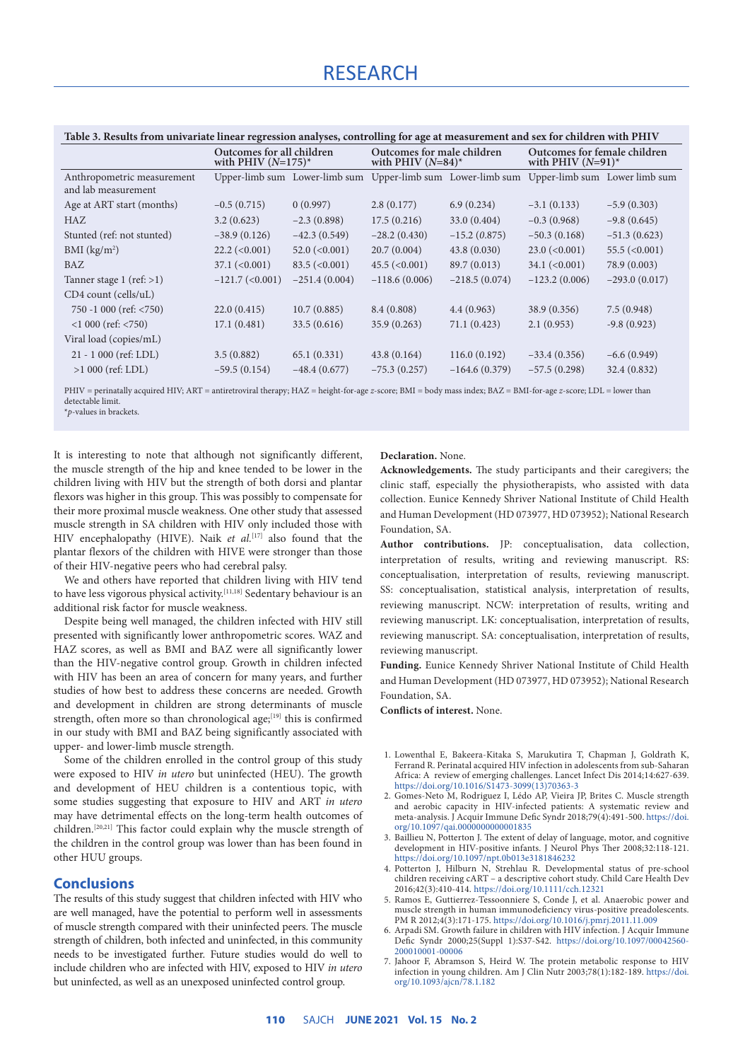| Table 3. Results from univariate linear regression analyses, controlling for age at measurement and sex for children with PHIV |                                                    |                               |                                                    |                               |                                                      |                               |  |  |  |  |
|--------------------------------------------------------------------------------------------------------------------------------|----------------------------------------------------|-------------------------------|----------------------------------------------------|-------------------------------|------------------------------------------------------|-------------------------------|--|--|--|--|
|                                                                                                                                | Outcomes for all children<br>with PHIV $(N=175)^*$ |                               | Outcomes for male children<br>with PHIV $(N=84)^*$ |                               | Outcomes for female children<br>with PHIV $(N=91)^*$ |                               |  |  |  |  |
| Anthropometric measurement<br>and lab measurement                                                                              |                                                    | Upper-limb sum Lower-limb sum |                                                    | Upper-limb sum Lower-limb sum |                                                      | Upper-limb sum Lower limb sum |  |  |  |  |
| Age at ART start (months)                                                                                                      | $-0.5(0.715)$                                      | 0(0.997)                      | 2.8(0.177)                                         | 6.9(0.234)                    | $-3.1(0.133)$                                        | $-5.9(0.303)$                 |  |  |  |  |
| HAZ.                                                                                                                           | 3.2(0.623)                                         | $-2.3(0.898)$                 | 17.5(0.216)                                        | 33.0 (0.404)                  | $-0.3(0.968)$                                        | $-9.8(0.645)$                 |  |  |  |  |
| Stunted (ref: not stunted)                                                                                                     | $-38.9(0.126)$                                     | $-42.3(0.549)$                | $-28.2(0.430)$                                     | $-15.2(0.875)$                | $-50.3(0.168)$                                       | $-51.3(0.623)$                |  |  |  |  |
| BMI (kg/m <sup>2</sup> )                                                                                                       | $22.2 \left( < 0.001 \right)$                      | $52.0 \; (<0.001)$            | 20.7(0.004)                                        | 43.8 (0.030)                  | $23.0 \; (<0.001)$                                   | 55.5 (< 0.001)                |  |  |  |  |
| BAZ                                                                                                                            | $37.1 (\leq 0.001)$                                | $83.5 \left( < 0.001 \right)$ | 45.5 (< 0.001)                                     | 89.7 (0.013)                  | $34.1 (\leq 0.001)$                                  | 78.9 (0.003)                  |  |  |  |  |
| Tanner stage $1$ (ref: >1)                                                                                                     | $-121.7$ (<0.001)                                  | $-251.4(0.004)$               | $-118.6(0.006)$                                    | $-218.5(0.074)$               | $-123.2(0.006)$                                      | $-293.0(0.017)$               |  |  |  |  |
| CD4 count (cells/uL)                                                                                                           |                                                    |                               |                                                    |                               |                                                      |                               |  |  |  |  |
| 750 -1 000 (ref: $\langle 750 \rangle$ )                                                                                       | 22.0(0.415)                                        | 10.7(0.885)                   | 8.4 (0.808)                                        | 4.4(0.963)                    | 38.9 (0.356)                                         | 7.5(0.948)                    |  |  |  |  |
| $<$ 1 000 (ref: $<$ 750)                                                                                                       | 17.1(0.481)                                        | 33.5(0.616)                   | 35.9(0.263)                                        | 71.1(0.423)                   | 2.1(0.953)                                           | $-9.8(0.923)$                 |  |  |  |  |
| Viral load (copies/mL)                                                                                                         |                                                    |                               |                                                    |                               |                                                      |                               |  |  |  |  |
| $21 - 1000$ (ref: LDL)                                                                                                         | 3.5(0.882)                                         | 65.1(0.331)                   | 43.8(0.164)                                        | 116.0(0.192)                  | $-33.4(0.356)$                                       | $-6.6(0.949)$                 |  |  |  |  |
| $>1000$ (ref: LDL)                                                                                                             | $-59.5(0.154)$                                     | $-48.4(0.677)$                | $-75.3(0.257)$                                     | $-164.6(0.379)$               | $-57.5(0.298)$                                       | 32.4 (0.832)                  |  |  |  |  |
|                                                                                                                                |                                                    |                               |                                                    |                               |                                                      |                               |  |  |  |  |

PHIV = perinatally acquired HIV; ART = antiretroviral therapy; HAZ = height-for-age *z*-score; BMI = body mass index; BAZ = BMI-for-age *z*-score; LDL = lower than detectable limit.

\**p*-values in brackets.

It is interesting to note that although not significantly different, the muscle strength of the hip and knee tended to be lower in the children living with HIV but the strength of both dorsi and plantar flexors was higher in this group. This was possibly to compensate for their more proximal muscle weakness. One other study that assessed muscle strength in SA children with HIV only included those with HIV encephalopathy (HIVE). Naik et al.<sup>[17]</sup> also found that the plantar flexors of the children with HIVE were stronger than those of their HIV-negative peers who had cerebral palsy.

We and others have reported that children living with HIV tend to have less vigorous physical activity.<sup>[11,18]</sup> Sedentary behaviour is an additional risk factor for muscle weakness.

Despite being well managed, the children infected with HIV still presented with significantly lower anthropometric scores. WAZ and HAZ scores, as well as BMI and BAZ were all significantly lower than the HIV-negative control group. Growth in children infected with HIV has been an area of concern for many years, and further studies of how best to address these concerns are needed. Growth and development in children are strong determinants of muscle strength, often more so than chronological age;<sup>[19]</sup> this is confirmed in our study with BMI and BAZ being significantly associated with upper- and lower-limb muscle strength.

Some of the children enrolled in the control group of this study were exposed to HIV *in utero* but uninfected (HEU). The growth and development of HEU children is a contentious topic, with some studies suggesting that exposure to HIV and ART *in utero*  may have detrimental effects on the long-term health outcomes of children.[20,21] This factor could explain why the muscle strength of the children in the control group was lower than has been found in other HUU groups.

### **Conclusions**

The results of this study suggest that children infected with HIV who are well managed, have the potential to perform well in assessments of muscle strength compared with their uninfected peers. The muscle strength of children, both infected and uninfected, in this community needs to be investigated further. Future studies would do well to include children who are infected with HIV, exposed to HIV *in utero* but uninfected, as well as an unexposed uninfected control group.

**Declaration.** None.

**Acknowledgements.** The study participants and their caregivers; the clinic staff, especially the physiotherapists, who assisted with data collection. Eunice Kennedy Shriver National Institute of Child Health and Human Development (HD 073977, HD 073952); National Research Foundation, SA.

**Author contributions.** JP: conceptualisation, data collection, interpretation of results, writing and reviewing manuscript. RS: conceptualisation, interpretation of results, reviewing manuscript. SS: conceptualisation, statistical analysis, interpretation of results, reviewing manuscript. NCW: interpretation of results, writing and reviewing manuscript. LK: conceptualisation, interpretation of results, reviewing manuscript. SA: conceptualisation, interpretation of results, reviewing manuscript.

**Funding.** Eunice Kennedy Shriver National Institute of Child Health and Human Development (HD 073977, HD 073952); National Research Foundation, SA.

**Conflicts of interest.** None.

- 1. Lowenthal E, Bakeera-Kitaka S, Marukutira T, Chapman J, Goldrath K, Ferrand R. Perinatal acquired HIV infection in adolescents from sub-Saharan Africa: A review of emerging challenges. Lancet Infect Dis 2014;14:627-639. [https://doi.org/10.1016/S1473-3099\(13\)70363-3](https://doi.org/10.1016/S1473-3099(13)70363-3)
- 2. Gomes-Neto M, Rodriguez I, Lédo AP, Vieira JP, Brites C. Muscle strength and aerobic capacity in HIV-infected patients: A systematic review and meta-analysis. J Acquir Immune Defic Syndr 2018;79(4):491‐500. [https://doi.](https://doi.org/10.1097/qai.0000000000001835) [org/10.1097/qai.0000000000001835](https://doi.org/10.1097/qai.0000000000001835)
- 3. Baillieu N, Potterton J. The extent of delay of language, motor, and cognitive development in HIV-positive infants. J Neurol Phys Ther 2008;32:118-121. <https://doi.org/10.1097/npt.0b013e3181846232>
- 4. Potterton J, Hilburn N, Strehlau R. Developmental status of pre-school children receiving cART – a descriptive cohort study. Child Care Health Dev 2016;42(3):410-414.<https://doi.org/10.1111/cch.12321>
- 5. Ramos E, Guttierrez-Tessoonniere S, Conde J, et al. Anaerobic power and muscle strength in human immunodeficiency virus-positive preadolescents. PM R 2012;4(3):171-175. <https://doi.org/10.1016/j.pmrj.2011.11.009>
- 6. Arpadi SM. Growth failure in children with HIV infection. J Acquir Immune Defic Syndr 2000;25(Suppl 1):S37‐S42. [https://doi.org/10.1097/00042560-](https://doi.org/10.1097/00042560-200010001-00006) [200010001-00006](https://doi.org/10.1097/00042560-200010001-00006)
- 7. Jahoor F, Abramson S, Heird W. The protein metabolic response to HIV infection in young children. Am J Clin Nutr 2003;78(1):182-189. [https://doi.](https://doi.org/10.1093/ajcn/78.1.182) [org/10.1093/ajcn/78.1.182](https://doi.org/10.1093/ajcn/78.1.182)